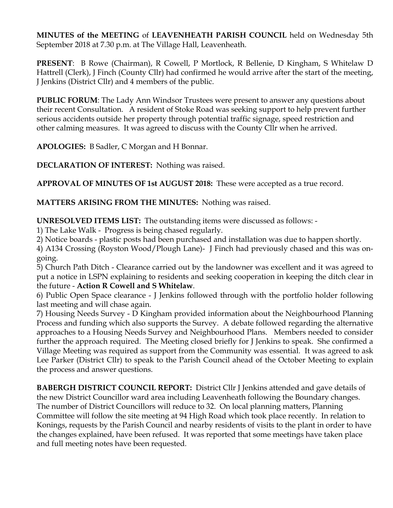**MINUTES of the MEETING** of **LEAVENHEATH PARISH COUNCIL** held on Wednesday 5th September 2018 at 7.30 p.m. at The Village Hall, Leavenheath.

**PRESENT**: B Rowe (Chairman), R Cowell, P Mortlock, R Bellenie, D Kingham, S Whitelaw D Hattrell (Clerk), J Finch (County Cllr) had confirmed he would arrive after the start of the meeting, J Jenkins (District Cllr) and 4 members of the public.

**PUBLIC FORUM**: The Lady Ann Windsor Trustees were present to answer any questions about their recent Consultation. A resident of Stoke Road was seeking support to help prevent further serious accidents outside her property through potential traffic signage, speed restriction and other calming measures. It was agreed to discuss with the County Cllr when he arrived.

**APOLOGIES:** B Sadler, C Morgan and H Bonnar.

**DECLARATION OF INTEREST:** Nothing was raised.

**APPROVAL OF MINUTES OF 1st AUGUST 2018:** These were accepted as a true record.

**MATTERS ARISING FROM THE MINUTES:** Nothing was raised.

**UNRESOLVED ITEMS LIST:** The outstanding items were discussed as follows: -

1) The Lake Walk - Progress is being chased regularly.

2) Notice boards - plastic posts had been purchased and installation was due to happen shortly.

4) A134 Crossing (Royston Wood/Plough Lane)- J Finch had previously chased and this was ongoing.

5) Church Path Ditch - Clearance carried out by the landowner was excellent and it was agreed to put a notice in LSPN explaining to residents and seeking cooperation in keeping the ditch clear in the future - **Action R Cowell and S Whitelaw**.

6) Public Open Space clearance - J Jenkins followed through with the portfolio holder following last meeting and will chase again.

7) Housing Needs Survey - D Kingham provided information about the Neighbourhood Planning Process and funding which also supports the Survey. A debate followed regarding the alternative approaches to a Housing Needs Survey and Neighbourhood Plans. Members needed to consider further the approach required. The Meeting closed briefly for J Jenkins to speak. She confirmed a Village Meeting was required as support from the Community was essential. It was agreed to ask Lee Parker (District Cllr) to speak to the Parish Council ahead of the October Meeting to explain the process and answer questions.

**BABERGH DISTRICT COUNCIL REPORT:** District Cllr J Jenkins attended and gave details of the new District Councillor ward area including Leavenheath following the Boundary changes. The number of District Councillors will reduce to 32. On local planning matters, Planning Committee will follow the site meeting at 94 High Road which took place recently. In relation to Konings, requests by the Parish Council and nearby residents of visits to the plant in order to have the changes explained, have been refused. It was reported that some meetings have taken place and full meeting notes have been requested.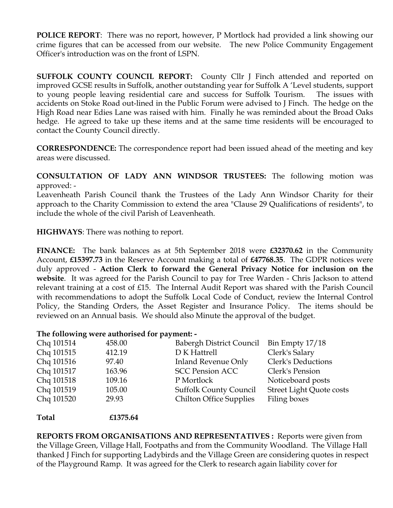**POLICE REPORT**: There was no report, however, P Mortlock had provided a link showing our crime figures that can be accessed from our website. The new Police Community Engagement Officer's introduction was on the front of LSPN.

**SUFFOLK COUNTY COUNCIL REPORT:** County Cllr J Finch attended and reported on improved GCSE results in Suffolk, another outstanding year for Suffolk A 'Level students, support to young people leaving residential care and success for Suffolk Tourism. The issues with accidents on Stoke Road out-lined in the Public Forum were advised to J Finch. The hedge on the High Road near Edies Lane was raised with him. Finally he was reminded about the Broad Oaks hedge. He agreed to take up these items and at the same time residents will be encouraged to contact the County Council directly.

**CORRESPONDENCE:** The correspondence report had been issued ahead of the meeting and key areas were discussed.

**CONSULTATION OF LADY ANN WINDSOR TRUSTEES:** The following motion was approved: -

Leavenheath Parish Council thank the Trustees of the Lady Ann Windsor Charity for their approach to the Charity Commission to extend the area "Clause 29 Qualifications of residents", to include the whole of the civil Parish of Leavenheath.

**HIGHWAYS**: There was nothing to report.

**FINANCE:** The bank balances as at 5th September 2018 were **£32370.62** in the Community Account, **£15397.73** in the Reserve Account making a total of **£47768.35**. The GDPR notices were duly approved - **Action Clerk to forward the General Privacy Notice for inclusion on the website**. It was agreed for the Parish Council to pay for Tree Warden - Chris Jackson to attend relevant training at a cost of £15. The Internal Audit Report was shared with the Parish Council with recommendations to adopt the Suffolk Local Code of Conduct, review the Internal Control Policy, the Standing Orders, the Asset Register and Insurance Policy. The items should be reviewed on an Annual basis. We should also Minute the approval of the budget.

## **The following were authorised for payment: -**

| Chq 101514 | 458.00 | <b>Babergh District Council</b> | Bin Empty 17/18                 |
|------------|--------|---------------------------------|---------------------------------|
| Chq 101515 | 412.19 | D K Hattrell                    | Clerk's Salary                  |
| Chq 101516 | 97.40  | <b>Inland Revenue Only</b>      | Clerk's Deductions              |
| Chq 101517 | 163.96 | <b>SCC Pension ACC</b>          | Clerk's Pension                 |
| Chq 101518 | 109.16 | P Mortlock                      | Noticeboard posts               |
| Chq 101519 | 105.00 | <b>Suffolk County Council</b>   | <b>Street Light Quote costs</b> |
| Chq 101520 | 29.93  | <b>Chilton Office Supplies</b>  | Filing boxes                    |

**Total £1375.64**

**REPORTS FROM ORGANISATIONS AND REPRESENTATIVES :** Reports were given from the Village Green, Village Hall, Footpaths and from the Community Woodland. The Village Hall thanked J Finch for supporting Ladybirds and the Village Green are considering quotes in respect of the Playground Ramp. It was agreed for the Clerk to research again liability cover for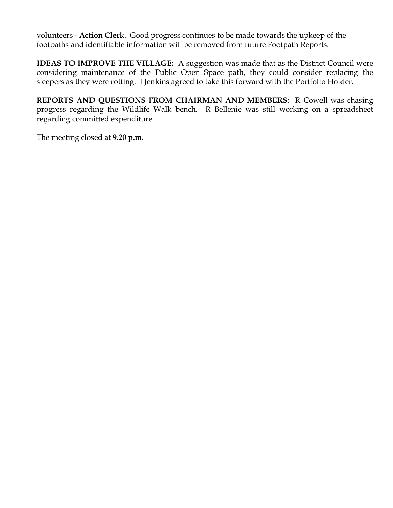volunteers - **Action Clerk**. Good progress continues to be made towards the upkeep of the footpaths and identifiable information will be removed from future Footpath Reports.

**IDEAS TO IMPROVE THE VILLAGE:** A suggestion was made that as the District Council were considering maintenance of the Public Open Space path, they could consider replacing the sleepers as they were rotting. J Jenkins agreed to take this forward with the Portfolio Holder.

**REPORTS AND QUESTIONS FROM CHAIRMAN AND MEMBERS**: R Cowell was chasing progress regarding the Wildlife Walk bench. R Bellenie was still working on a spreadsheet regarding committed expenditure.

The meeting closed at **9.20 p.m**.